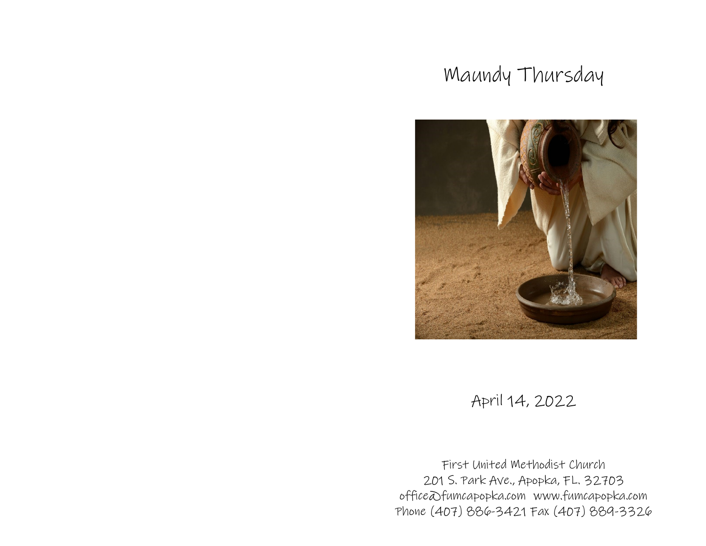# Maundy Thursday



## April 14, 2022

First United Methodist Church 201 S. Park Ave., Apopka, FL. 32703 office@fumcapopka.com www.fumcapopka.com Phone (407) 886-3421 Fax (407) 889-3326